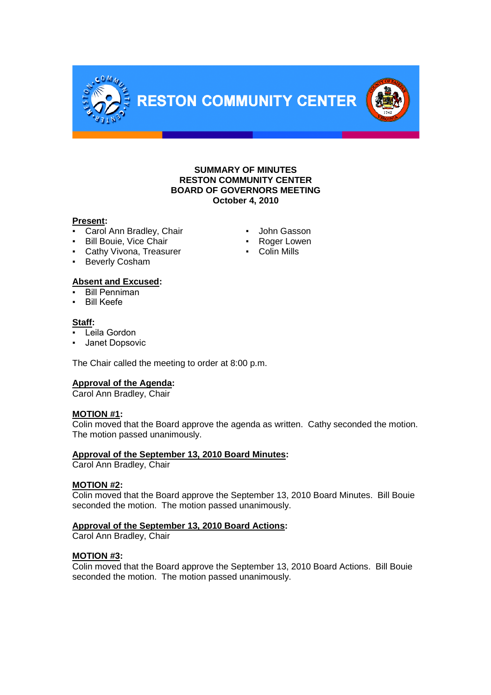

# **SUMMARY OF MINUTES RESTON COMMUNITY CENTER BOARD OF GOVERNORS MEETING October 4, 2010**

### **Present:**

- Carol Ann Bradley, Chair **· John Gasson**
- **•** Bill Bouie, Vice Chair **· Roger Lowen**<br>• Cathy Vivona. Treasurer **·** Colin Mills
- Cathy Vivona, Treasurer
- Beverly Cosham

# **Absent and Excused:**

**Bill Penniman** 

**Bill Keefe** 

# **Staff:**

- $\overline{\mathsf{L}}$ eila Gordon
- Janet Dopsovic

The Chair called the meeting to order at 8:00 p.m.

# **Approval of the Agenda:**

Carol Ann Bradley, Chair

# **MOTION #1:**

Colin moved that the Board approve the agenda as written. Cathy seconded the motion. The motion passed unanimously.

# **Approval of the September 13, 2010 Board Minutes:**

Carol Ann Bradley, Chair

# **MOTION #2:**

Colin moved that the Board approve the September 13, 2010 Board Minutes. Bill Bouie seconded the motion. The motion passed unanimously.

# **Approval of the September 13, 2010 Board Actions:**

Carol Ann Bradley, Chair

# **MOTION #3:**

Colin moved that the Board approve the September 13, 2010 Board Actions. Bill Bouie seconded the motion. The motion passed unanimously.

- 
- 
-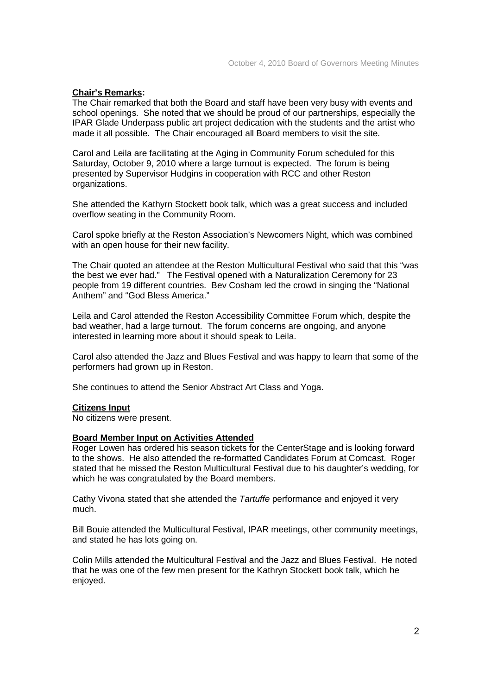### **Chair's Remarks:**

The Chair remarked that both the Board and staff have been very busy with events and school openings. She noted that we should be proud of our partnerships, especially the IPAR Glade Underpass public art project dedication with the students and the artist who made it all possible. The Chair encouraged all Board members to visit the site.

Carol and Leila are facilitating at the Aging in Community Forum scheduled for this Saturday, October 9, 2010 where a large turnout is expected. The forum is being presented by Supervisor Hudgins in cooperation with RCC and other Reston organizations.

She attended the Kathyrn Stockett book talk, which was a great success and included overflow seating in the Community Room.

Carol spoke briefly at the Reston Association's Newcomers Night, which was combined with an open house for their new facility.

The Chair quoted an attendee at the Reston Multicultural Festival who said that this "was the best we ever had." The Festival opened with a Naturalization Ceremony for 23 people from 19 different countries. Bev Cosham led the crowd in singing the "National Anthem" and "God Bless America."

Leila and Carol attended the Reston Accessibility Committee Forum which, despite the bad weather, had a large turnout. The forum concerns are ongoing, and anyone interested in learning more about it should speak to Leila.

Carol also attended the Jazz and Blues Festival and was happy to learn that some of the performers had grown up in Reston.

She continues to attend the Senior Abstract Art Class and Yoga.

#### **Citizens Input**

No citizens were present.

### **Board Member Input on Activities Attended**

Roger Lowen has ordered his season tickets for the CenterStage and is looking forward to the shows. He also attended the re-formatted Candidates Forum at Comcast. Roger stated that he missed the Reston Multicultural Festival due to his daughter's wedding, for which he was congratulated by the Board members.

Cathy Vivona stated that she attended the *Tartuffe* performance and enjoyed it very much.

Bill Bouie attended the Multicultural Festival, IPAR meetings, other community meetings, and stated he has lots going on.

Colin Mills attended the Multicultural Festival and the Jazz and Blues Festival. He noted that he was one of the few men present for the Kathryn Stockett book talk, which he enjoyed.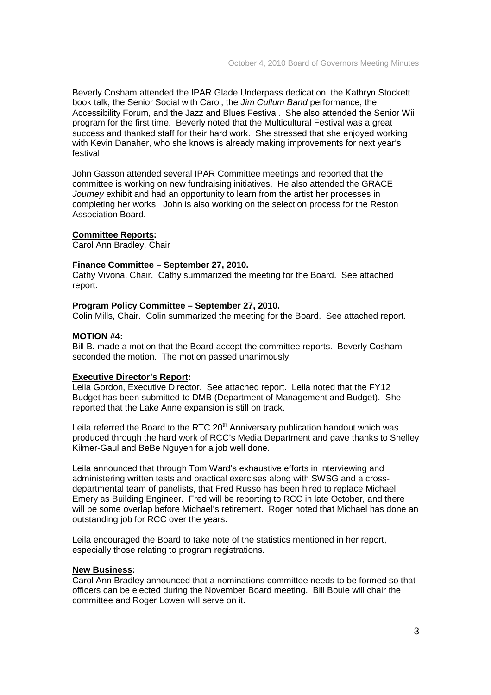Beverly Cosham attended the IPAR Glade Underpass dedication, the Kathryn Stockett book talk, the Senior Social with Carol, the *Jim Cullum Band* performance, the Accessibility Forum, and the Jazz and Blues Festival. She also attended the Senior Wii program for the first time. Beverly noted that the Multicultural Festival was a great success and thanked staff for their hard work. She stressed that she enjoyed working with Kevin Danaher, who she knows is already making improvements for next year's festival.

John Gasson attended several IPAR Committee meetings and reported that the committee is working on new fundraising initiatives. He also attended the GRACE *Journey* exhibit and had an opportunity to learn from the artist her processes in completing her works. John is also working on the selection process for the Reston Association Board.

# **Committee Reports:**

Carol Ann Bradley, Chair

#### **Finance Committee – September 27, 2010.**

Cathy Vivona, Chair. Cathy summarized the meeting for the Board. See attached report.

#### **Program Policy Committee – September 27, 2010.**

Colin Mills, Chair. Colin summarized the meeting for the Board. See attached report.

### **MOTION #4:**

Bill B. made a motion that the Board accept the committee reports. Beverly Cosham seconded the motion. The motion passed unanimously.

#### **Executive Director's Report:**

Leila Gordon, Executive Director. See attached report. Leila noted that the FY12 Budget has been submitted to DMB (Department of Management and Budget). She reported that the Lake Anne expansion is still on track.

Leila referred the Board to the RTC  $20<sup>th</sup>$  Anniversary publication handout which was produced through the hard work of RCC's Media Department and gave thanks to Shelley Kilmer-Gaul and BeBe Nguyen for a job well done.

Leila announced that through Tom Ward's exhaustive efforts in interviewing and administering written tests and practical exercises along with SWSG and a crossdepartmental team of panelists, that Fred Russo has been hired to replace Michael Emery as Building Engineer. Fred will be reporting to RCC in late October, and there will be some overlap before Michael's retirement. Roger noted that Michael has done an outstanding job for RCC over the years.

Leila encouraged the Board to take note of the statistics mentioned in her report, especially those relating to program registrations.

# **New Business:**

Carol Ann Bradley announced that a nominations committee needs to be formed so that officers can be elected during the November Board meeting. Bill Bouie will chair the committee and Roger Lowen will serve on it.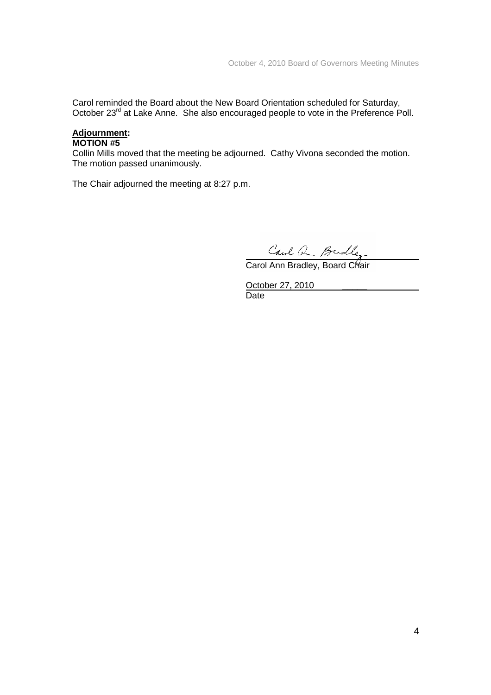Carol reminded the Board about the New Board Orientation scheduled for Saturday, October 23<sup>rd</sup> at Lake Anne. She also encouraged people to vote in the Preference Poll.

# **Adjournment:**

# **MOTION #5**

Collin Mills moved that the meeting be adjourned. Cathy Vivona seconded the motion. The motion passed unanimously.

The Chair adjourned the meeting at 8:27 p.m.

Carol Q Budley<br>Carol Ann Bradley, Board Chair

October 27, 2010 **Date**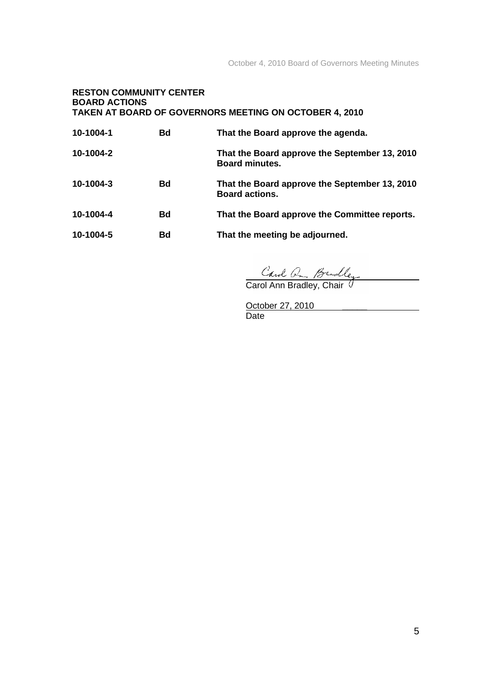# **RESTON COMMUNITY CENTER BOARD ACTIONS TAKEN AT BOARD OF GOVERNORS MEETING ON OCTOBER 4, 2010**

| 10-1004-1 | Bd | That the Board approve the agenda.                                     |
|-----------|----|------------------------------------------------------------------------|
| 10-1004-2 |    | That the Board approve the September 13, 2010<br><b>Board minutes.</b> |
| 10-1004-3 | Bd | That the Board approve the September 13, 2010<br><b>Board actions.</b> |
| 10-1004-4 | Bd | That the Board approve the Committee reports.                          |
| 10-1004-5 | Bd | That the meeting be adjourned.                                         |

Carol Q Budley<br>Carol Ann Bradley, Chair <sup>1</sup>

October 27, 2010 **Date**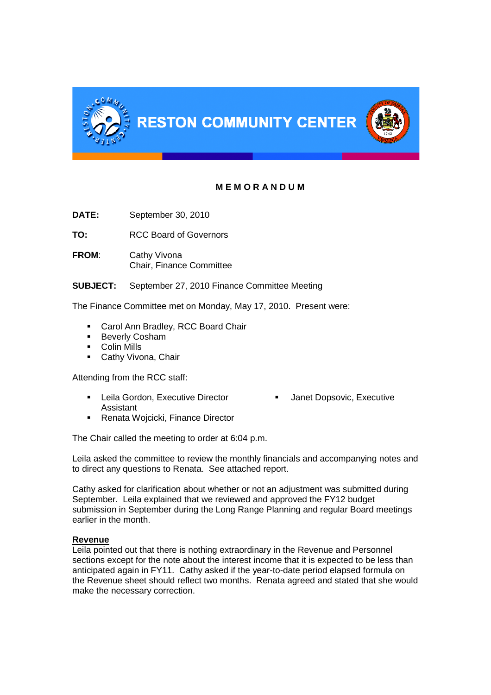

# **M E M O R A N D U M**

**DATE:** September 30, 2010

**TO:** RCC Board of Governors

**FROM**: Cathy Vivona Chair, Finance Committee

**SUBJECT:** September 27, 2010 Finance Committee Meeting

The Finance Committee met on Monday, May 17, 2010. Present were:

- **Carol Ann Bradley, RCC Board Chair**
- **Beverly Cosham**
- Colin Mills
- **Cathy Vivona, Chair**

Attending from the RCC staff:

- Leila Gordon, Executive Director Janet Dopsovic, Executive Assistant
- 
- **Renata Wojcicki, Finance Director**

The Chair called the meeting to order at 6:04 p.m.

Leila asked the committee to review the monthly financials and accompanying notes and to direct any questions to Renata. See attached report.

Cathy asked for clarification about whether or not an adjustment was submitted during September. Leila explained that we reviewed and approved the FY12 budget submission in September during the Long Range Planning and regular Board meetings earlier in the month.

# **Revenue**

Leila pointed out that there is nothing extraordinary in the Revenue and Personnel sections except for the note about the interest income that it is expected to be less than anticipated again in FY11. Cathy asked if the year-to-date period elapsed formula on the Revenue sheet should reflect two months. Renata agreed and stated that she would make the necessary correction.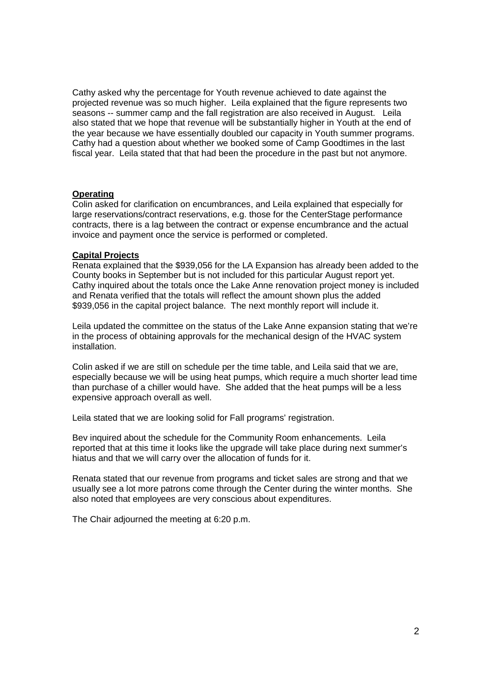Cathy asked why the percentage for Youth revenue achieved to date against the projected revenue was so much higher. Leila explained that the figure represents two seasons -- summer camp and the fall registration are also received in August. Leila also stated that we hope that revenue will be substantially higher in Youth at the end of the year because we have essentially doubled our capacity in Youth summer programs. Cathy had a question about whether we booked some of Camp Goodtimes in the last fiscal year. Leila stated that that had been the procedure in the past but not anymore.

# **Operating**

Colin asked for clarification on encumbrances, and Leila explained that especially for large reservations/contract reservations, e.g. those for the CenterStage performance contracts, there is a lag between the contract or expense encumbrance and the actual invoice and payment once the service is performed or completed.

#### **Capital Projects**

Renata explained that the \$939,056 for the LA Expansion has already been added to the County books in September but is not included for this particular August report yet. Cathy inquired about the totals once the Lake Anne renovation project money is included and Renata verified that the totals will reflect the amount shown plus the added \$939,056 in the capital project balance. The next monthly report will include it.

Leila updated the committee on the status of the Lake Anne expansion stating that we're in the process of obtaining approvals for the mechanical design of the HVAC system installation.

Colin asked if we are still on schedule per the time table, and Leila said that we are, especially because we will be using heat pumps, which require a much shorter lead time than purchase of a chiller would have. She added that the heat pumps will be a less expensive approach overall as well.

Leila stated that we are looking solid for Fall programs' registration.

Bev inquired about the schedule for the Community Room enhancements. Leila reported that at this time it looks like the upgrade will take place during next summer's hiatus and that we will carry over the allocation of funds for it.

Renata stated that our revenue from programs and ticket sales are strong and that we usually see a lot more patrons come through the Center during the winter months. She also noted that employees are very conscious about expenditures.

The Chair adjourned the meeting at 6:20 p.m.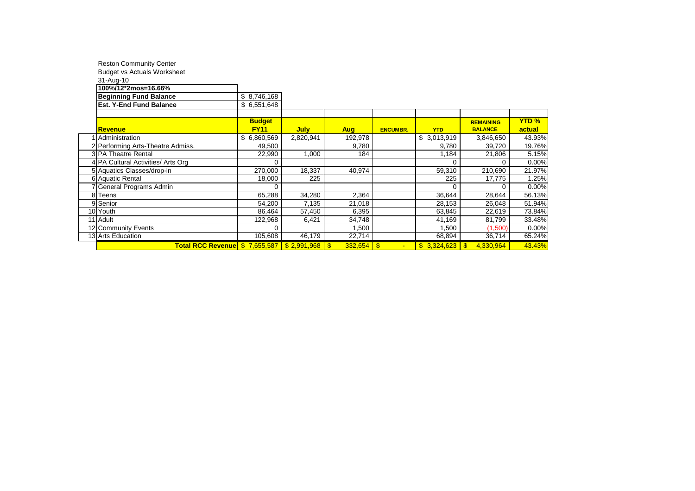| <b>Reston Community Center</b>     |               |             |                |                 |             |                         |              |
|------------------------------------|---------------|-------------|----------------|-----------------|-------------|-------------------------|--------------|
| <b>Budget vs Actuals Worksheet</b> |               |             |                |                 |             |                         |              |
| 31-Aug-10                          |               |             |                |                 |             |                         |              |
| 100%/12*2mos=16.66%                |               |             |                |                 |             |                         |              |
| <b>Beginning Fund Balance</b>      | \$8,746,168   |             |                |                 |             |                         |              |
| <b>Est. Y-End Fund Balance</b>     | \$6,551,648   |             |                |                 |             |                         |              |
|                                    |               |             |                |                 |             |                         |              |
|                                    | <b>Budget</b> |             |                |                 |             | <b>REMAINING</b>        | <b>YTD %</b> |
| Revenue                            | <b>FY11</b>   | <b>July</b> | <b>Aug</b>     | <b>ENCUMBR.</b> | <b>YTD</b>  | <b>BALANCE</b>          | actual       |
| Administration                     | \$6,860,569   | 2,820,941   | 192,978        |                 | \$3,013,919 | 3,846,650               | 43.93%       |
| 2 Performing Arts-Theatre Admiss.  | 49,500        |             | 9,780          |                 | 9,780       | 39,720                  | 19.76%       |
| 3 PA Theatre Rental                | 22,990        | 1,000       | 184            |                 | 1,184       | 21,806                  | 5.15%        |
| 4 PA Cultural Activities/ Arts Org | 0             |             |                |                 | $\Omega$    | 0                       | 0.00%        |
| 5 Aquatics Classes/drop-in         | 270,000       | 18,337      | 40,974         |                 | 59,310      | 210,690                 | 21.97%       |
| 6 Aquatic Rental                   | 18,000        | 225         |                |                 | 225         | 17,775                  | 1.25%        |
| General Programs Admin             | 0             |             |                |                 | $\Omega$    | 0                       | 0.00%        |
| 8 Teens                            | 65,288        | 34,280      | 2,364          |                 | 36,644      | 28,644                  | 56.13%       |
| 9 Senior                           | 54,200        | 7,135       | 21,018         |                 | 28,153      | 26,048                  | 51.94%       |
| 10 Youth                           | 86,464        | 57,450      | 6,395          |                 | 63,845      | 22,619                  | 73.84%       |
| 11 Adult                           | 122,968       | 6,421       | 34,748         |                 | 41,169      | 81,799                  | 33.48%       |
| 12 Community Events                | 0             |             | 1,500          |                 | 1,500       | (1,500)                 | 0.00%        |
| 13 Arts Education                  | 105,608       | 46,179      | 22,714         |                 | 68,894      | 36,714                  | 65.24%       |
| Total RCC Revenue \$7,655,587      |               | \$2,991,968 | $\blacksquare$ |                 | \$3,324,623 | 4,330,964<br>$\sqrt{s}$ | 43.43%       |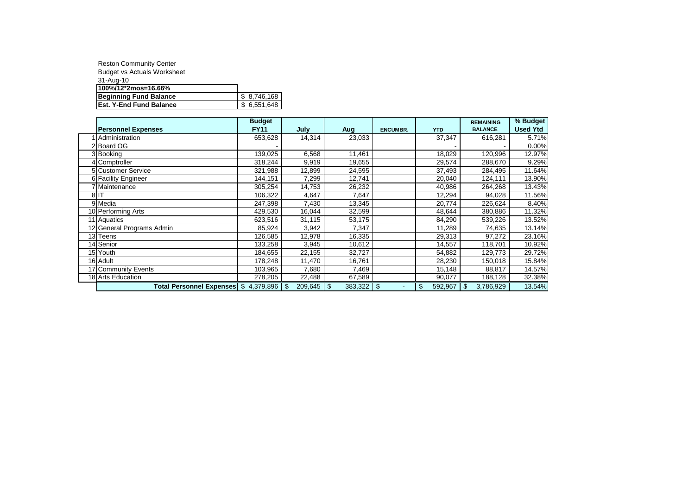| <b>Reston Community Center</b>     |             |
|------------------------------------|-------------|
| <b>Budget vs Actuals Worksheet</b> |             |
| 31-Aug-10                          |             |
| 100%/12*2mos=16.66%                |             |
| <b>Beginning Fund Balance</b>      | \$8,746,168 |
| <b>Est. Y-End Fund Balance</b>     | \$6,551,648 |

|                                         | <b>Budget</b> |                     |         |                                  |               | <b>REMAINING</b> | % Budget        |
|-----------------------------------------|---------------|---------------------|---------|----------------------------------|---------------|------------------|-----------------|
| <b>Personnel Expenses</b>               | <b>FY11</b>   | July                | Aug     | <b>ENCUMBR.</b>                  | <b>YTD</b>    | <b>BALANCE</b>   | <b>Used Ytd</b> |
| Administration                          | 653,628       | 14,314              | 23,033  |                                  | 37,347        | 616,281          | 5.71%           |
| 2 Board OG                              |               |                     |         |                                  |               |                  | 0.00%           |
| 3 Booking                               | 139,025       | 6,568               | 11,461  |                                  | 18,029        | 120,996          | 12.97%          |
| 4 Comptroller                           | 318,244       | 9,919               | 19,655  |                                  | 29,574        | 288,670          | 9.29%           |
| 5 Customer Service                      | 321,988       | 12,899              | 24,595  |                                  | 37,493        | 284,495          | 11.64%          |
| 6 Facility Engineer                     | 144,151       | 7,299               | 12,741  |                                  | 20,040        | 124,111          | 13.90%          |
| 7 Maintenance                           | 305,254       | 14,753              | 26,232  |                                  | 40,986        | 264,268          | 13.43%          |
| 8 IT                                    | 106,322       | 4,647               | 7,647   |                                  | 12,294        | 94,028           | 11.56%          |
| 9 Media                                 | 247,398       | 7,430               | 13,345  |                                  | 20,774        | 226,624          | 8.40%           |
| 10 Performing Arts                      | 429,530       | 16,044              | 32,599  |                                  | 48,644        | 380,886          | 11.32%          |
| 11 Aquatics                             | 623,516       | 31,115              | 53,175  |                                  | 84,290        | 539,226          | 13.52%          |
| 12 General Programs Admin               | 85,924        | 3,942               | 7,347   |                                  | 11,289        | 74,635           | 13.14%          |
| 13 Teens                                | 126,585       | 12,978              | 16,335  |                                  | 29,313        | 97,272           | 23.16%          |
| 14 Senior                               | 133,258       | 3,945               | 10,612  |                                  | 14,557        | 118,701          | 10.92%          |
| 15 Youth                                | 184,655       | 22,155              | 32,727  |                                  | 54,882        | 129,773          | 29.72%          |
| 16 Adult                                | 178,248       | 11,470              | 16,761  |                                  | 28,230        | 150,018          | 15.84%          |
| 17 Community Events                     | 103,965       | 7,680               | 7,469   |                                  | 15,148        | 88,817           | 14.57%          |
| 18 Arts Education                       | 278,205       | 22,488              | 67,589  |                                  | 90,077        | 188,128          | 32.38%          |
| Total Personnel Expenses   \$ 4,379,896 |               | $209,645$ \$<br>-\$ | 383,322 | l \$<br>$\overline{\phantom{a}}$ | \$<br>592,967 | 3,786,929<br>\$  | 13.54%          |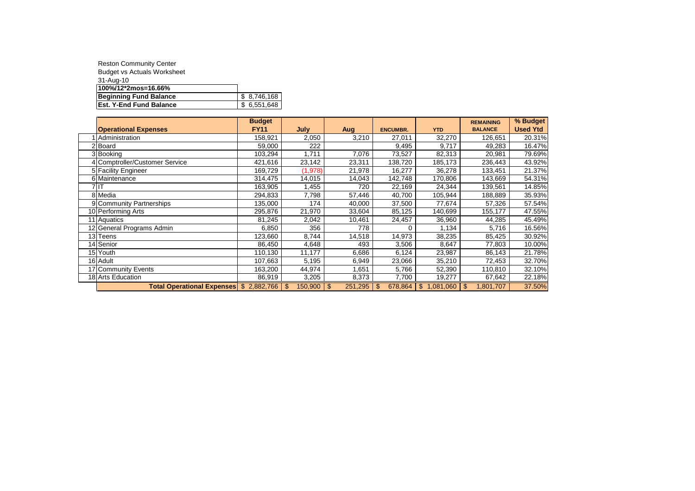| <b>Reston Community Center</b>     |             |
|------------------------------------|-------------|
| <b>Budget vs Actuals Worksheet</b> |             |
| 31-Aug-10                          |             |
| 100%/12*2mos=16.66%                |             |
| <b>Beginning Fund Balance</b>      | \$8,746,168 |
| <b>Est. Y-End Fund Balance</b>     | \$6,551,648 |

|                                         | <b>Budget</b> |                      |         |                           |             | <b>REMAINING</b> | % Budget        |
|-----------------------------------------|---------------|----------------------|---------|---------------------------|-------------|------------------|-----------------|
| <b>Operational Expenses</b>             | <b>FY11</b>   | July                 | Aug     | <b>ENCUMBR.</b>           | <b>YTD</b>  | <b>BALANCE</b>   | <b>Used Ytd</b> |
| Administration                          | 158,921       | 2,050                | 3,210   | 27,011                    | 32,270      | 126,651          | 20.31%          |
| Board                                   | 59,000        | 222                  |         | 9,495                     | 9,717       | 49,283           | 16.47%          |
| 3 Booking                               | 103,294       | 1,711                | 7,076   | 73,527                    | 82,313      | 20,981           | 79.69%          |
| 4 Comptroller/Customer Service          | 421,616       | 23,142               | 23,311  | 138,720                   | 185,173     | 236,443          | 43.92%          |
| 5 Facility Engineer                     | 169,729       | (1,978)              | 21,978  | 16,277                    | 36,278      | 133,451          | 21.37%          |
| 6 Maintenance                           | 314,475       | 14,015               | 14,043  | 142,748                   | 170,806     | 143,669          | 54.31%          |
| 7 IT                                    | 163,905       | 1,455                | 720     | 22,169                    | 24,344      | 139,561          | 14.85%          |
| 8 Media                                 | 294,833       | 7,798                | 57,446  | 40,700                    | 105,944     | 188,889          | 35.93%          |
| 9 Community Partnerships                | 135,000       | 174                  | 40,000  | 37,500                    | 77,674      | 57,326           | 57.54%          |
| 10 Performing Arts                      | 295,876       | 21,970               | 33,604  | 85,125                    | 140,699     | 155,177          | 47.55%          |
| 11 Aquatics                             | 81,245        | 2,042                | 10,461  | 24,457                    | 36,960      | 44,285           | 45.49%          |
| 12 General Programs Admin               | 6,850         | 356                  | 778     | 0                         | 1,134       | 5,716            | 16.56%          |
| 13 Teens                                | 123,660       | 8,744                | 14,518  | 14,973                    | 38,235      | 85,425           | 30.92%          |
| 14 Senior                               | 86,450        | 4,648                | 493     | 3,506                     | 8,647       | 77,803           | 10.00%          |
| 15 Youth                                | 110,130       | 11,177               | 6,686   | 6,124                     | 23,987      | 86,143           | 21.78%          |
| 16 Adult                                | 107,663       | 5,195                | 6,949   | 23,066                    | 35,210      | 72,453           | 32.70%          |
| 17 Community Events                     | 163,200       | 44,974               | 1,651   | 5,766                     | 52,390      | 110,810          | 32.10%          |
| 18 Arts Education                       | 86,919        | 3,205                | 8,373   | 7,700                     | 19,277      | 67,642           | 22.18%          |
| Total Operational Expenses \$ 2,882,766 |               | \$<br>$150,900$   \$ | 251,295 | $\mathfrak{S}$<br>678,864 | \$1,081,060 | \$<br>1,801,707  | 37.50%          |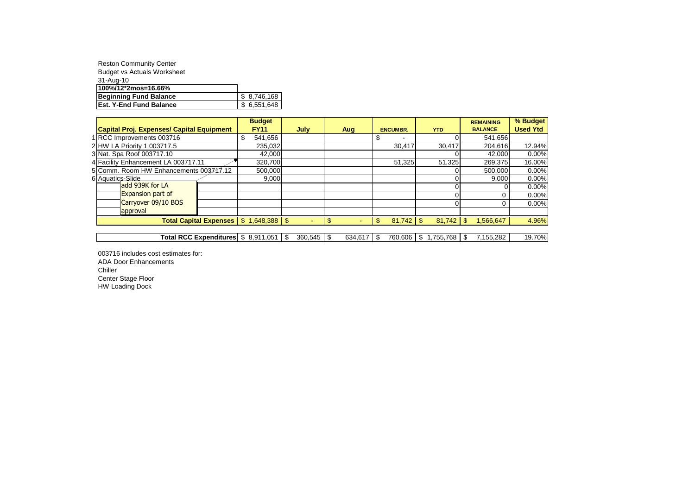| <b>Reston Community Center</b>     |             |
|------------------------------------|-------------|
| <b>Budget vs Actuals Worksheet</b> |             |
| 31-Aug-10                          |             |
| 100%/12*2mos=16.66%                |             |
| Beginning Fund Balance             | \$8,746,168 |
| <b>Est. Y-End Fund Balance</b>     | \$6,551,648 |

|                                                      |  | <b>Budget</b>                                                |                  |         |      |                 |                        |     | <b>REMAINING</b> | % Budget        |
|------------------------------------------------------|--|--------------------------------------------------------------|------------------|---------|------|-----------------|------------------------|-----|------------------|-----------------|
| Capital Proj. Expenses/ Capital Equipment            |  | <b>FY11</b>                                                  | July             | Aug     |      | <b>ENCUMBR.</b> | <b>YTD</b>             |     | <b>BALANCE</b>   | <b>Used Ytd</b> |
| 1 RCC Improvements 003716                            |  | 541.656                                                      |                  |         | S    |                 |                        |     | 541.656          |                 |
| 2 HW LA Priority 1 003717.5                          |  | 235,032                                                      |                  |         |      | 30,417          | 30,417                 |     | 204,616          | 12.94%          |
| 3 Nat. Spa Roof 003717.10                            |  | 42.000                                                       |                  |         |      |                 |                        |     | 42.000           | $0.00\%$        |
| 4 Facility Enhancement LA 003717.11                  |  | 320,700                                                      |                  |         |      | 51,325          | 51,325                 |     | 269,375          | 16.00%          |
| 5 Comm. Room HW Enhancements 003747.12               |  | 500,000                                                      |                  |         |      |                 |                        |     | 500.000          | 0.00%           |
| 6 Aquatics Slide                                     |  | 9,000                                                        |                  |         |      |                 |                        |     | 9,000            | 0.00%           |
| add 939K for LA                                      |  |                                                              |                  |         |      |                 |                        |     |                  | 0.00%           |
| <b>Expansion part of</b>                             |  |                                                              |                  |         |      |                 |                        |     |                  | 0.00%           |
| Carryover 09/10 BOS                                  |  |                                                              |                  |         |      |                 |                        |     | 0                | $0.00\%$        |
| approval                                             |  |                                                              |                  |         |      |                 |                        |     |                  |                 |
| Total Capital Expenses $\mid$ \$ 1,648,388 $\mid$ \$ |  |                                                              |                  | \$      | \$   |                 | 81.742                 | £.  | 1.566.647        | 4.96%           |
|                                                      |  |                                                              |                  |         |      |                 |                        |     |                  |                 |
|                                                      |  | Total RCC Expenditures $\frac{1}{3}$ 8.911.051 $\frac{1}{3}$ | $360.545$ \ \ \$ | 634.617 | - \$ |                 | 760,606   \$ 1,755,768 | -\$ | 7,155,282        | 19.70%          |

003716 includes cost estimates for: ADA Door Enhancements Chiller Center Stage Floor HW Loading Dock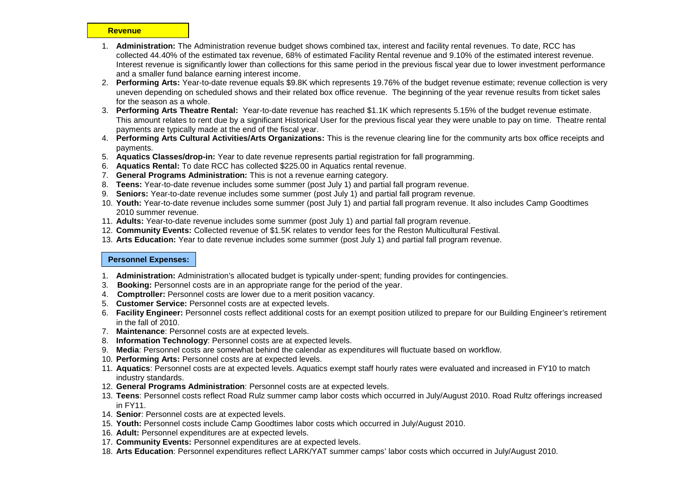#### **Revenue**

- 1. **Administration:** The Administration revenue budget shows combined tax, interest and facility rental revenues. To date, RCC has collected 44.40% of the estimated tax revenue, 68% of estimated Facility Rental revenue and 9.10% of the estimated interest revenue. Interest revenue is significantly lower than collections for this same period in the previous fiscal year due to lower investment performance and a smaller fund balance earning interest income.
- 2. **Performing Arts:** Year-to-date revenue equals \$9.8K which represents 19.76% of the budget revenue estimate; revenue collection is very uneven depending on scheduled shows and their related box office revenue. The beginning of the year revenue results from ticket sales for the season as a whole.
- 3. **Performing Arts Theatre Rental:** Year-to-date revenue has reached \$1.1K which represents 5.15% of the budget revenue estimate. This amount relates to rent due by a significant Historical User for the previous fiscal year they were unable to pay on time. Theatre rental payments are typically made at the end of the fiscal year.
- 4. **Performing Arts Cultural Activities/Arts Organizations:** This is the revenue clearing line for the community arts box office receipts and payments.
- 5. **Aquatics Classes/drop-in:** Year to date revenue represents partial registration for fall programming.
- 6. **Aquatics Rental:** To date RCC has collected \$225.00 in Aquatics rental revenue.
- 7. **General Programs Administration:** This is not a revenue earning category.
- 8. **Teens:** Year-to-date revenue includes some summer (post July 1) and partial fall program revenue.
- 9. **Seniors:** Year-to-date revenue includes some summer (post July 1) and partial fall program revenue.
- 10. **Youth:** Year-to-date revenue includes some summer (post July 1) and partial fall program revenue. It also includes Camp Goodtimes 2010 summer revenue.
- 11. **Adults:** Year-to-date revenue includes some summer (post July 1) and partial fall program revenue.
- 12. **Community Events:** Collected revenue of \$1.5K relates to vendor fees for the Reston Multicultural Festival.
- 13. **Arts Education:** Year to date revenue includes some summer (post July 1) and partial fall program revenue.

#### **Personnel Expenses:**

- 1. **Administration:** Administration's allocated budget is typically under-spent; funding provides for contingencies.
- 3. **Booking:** Personnel costs are in an appropriate range for the period of the year.
- 4. **Comptroller:** Personnel costs are lower due to a merit position vacancy.
- 5. **Customer Service:** Personnel costs are at expected levels.
- 6. **Facility Engineer:** Personnel costs reflect additional costs for an exempt position utilized to prepare for our Building Engineer's retirement in the fall of 2010.
- 7. **Maintenance**: Personnel costs are at expected levels.
- 8. **Information Technology**: Personnel costs are at expected levels.
- 9. **Media**: Personnel costs are somewhat behind the calendar as expenditures will fluctuate based on workflow.
- 10. **Performing Arts:** Personnel costs are at expected levels.
- 11. **Aquatics**: Personnel costs are at expected levels. Aquatics exempt staff hourly rates were evaluated and increased in FY10 to match industry standards.
- 12. **General Programs Administration**: Personnel costs are at expected levels.
- 13. **Teens**: Personnel costs reflect Road Rulz summer camp labor costs which occurred in July/August 2010. Road Rultz offerings increased in FY11.
- 14. **Senior**: Personnel costs are at expected levels.
- 15. **Youth:** Personnel costs include Camp Goodtimes labor costs which occurred in July/August 2010.
- 16. **Adult:** Personnel expenditures are at expected levels.
- 17. **Community Events:** Personnel expenditures are at expected levels.
- 18. **Arts Education**: Personnel expenditures reflect LARK/YAT summer camps' labor costs which occurred in July/August 2010.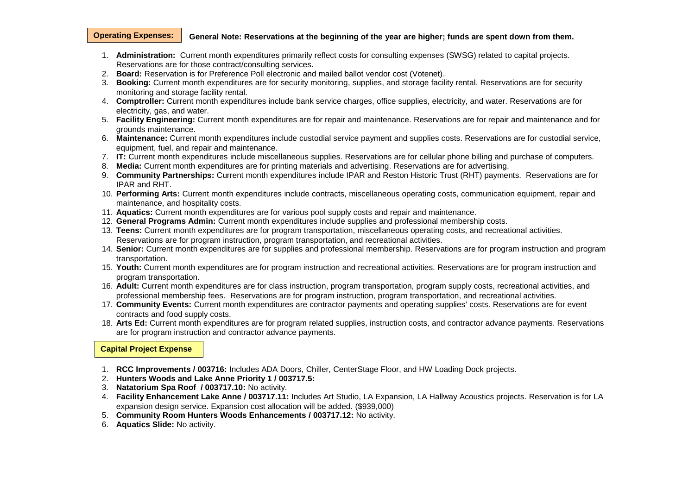#### **General Note: Reservations at the beginning of the year are higher; funds are spent down from them. Operating Expenses:**

- 1. **Administration:** Current month expenditures primarily reflect costs for consulting expenses (SWSG) related to capital projects. Reservations are for those contract/consulting services.
- 2. **Board:** Reservation is for Preference Poll electronic and mailed ballot vendor cost (Votenet).
- 3. **Booking:** Current month expenditures are for security monitoring, supplies, and storage facility rental. Reservations are for security monitoring and storage facility rental.
- 4. **Comptroller:** Current month expenditures include bank service charges, office supplies, electricity, and water. Reservations are for electricity, gas, and water.
- 5. **Facility Engineering:** Current month expenditures are for repair and maintenance. Reservations are for repair and maintenance and for grounds maintenance.
- 6. **Maintenance:** Current month expenditures include custodial service payment and supplies costs. Reservations are for custodial service, equipment, fuel, and repair and maintenance.
- 7. **IT:** Current month expenditures include miscellaneous supplies. Reservations are for cellular phone billing and purchase of computers.
- 8. **Media:** Current month expenditures are for printing materials and advertising. Reservations are for advertising.
- 9. **Community Partnerships:** Current month expenditures include IPAR and Reston Historic Trust (RHT) payments. Reservations are for IPAR and RHT.
- 10. **Performing Arts:** Current month expenditures include contracts, miscellaneous operating costs, communication equipment, repair and maintenance, and hospitality costs.
- 11. **Aquatics:** Current month expenditures are for various pool supply costs and repair and maintenance.
- 12. **General Programs Admin:** Current month expenditures include supplies and professional membership costs.
- 13. **Teens:** Current month expenditures are for program transportation, miscellaneous operating costs, and recreational activities. Reservations are for program instruction, program transportation, and recreational activities.
- 14. **Senior:** Current month expenditures are for supplies and professional membership. Reservations are for program instruction and program transportation.
- 15. **Youth:** Current month expenditures are for program instruction and recreational activities. Reservations are for program instruction and program transportation.
- 16. **Adult:** Current month expenditures are for class instruction, program transportation, program supply costs, recreational activities, and professional membership fees. Reservations are for program instruction, program transportation, and recreational activities.
- 17. **Community Events:** Current month expenditures are contractor payments and operating supplies' costs. Reservations are for event contracts and food supply costs.
- 18. **Arts Ed:** Current month expenditures are for program related supplies, instruction costs, and contractor advance payments. Reservations are for program instruction and contractor advance payments.

#### **Capital Project Expense**

- 1. **RCC Improvements / 003716:** Includes ADA Doors, Chiller, CenterStage Floor, and HW Loading Dock projects.
- 2. **Hunters Woods and Lake Anne Priority 1 / 003717.5:**
- 3. **Natatorium Spa Roof / 003717.10:** No activity.
- 4. **Facility Enhancement Lake Anne / 003717.11:** Includes Art Studio, LA Expansion, LA Hallway Acoustics projects. Reservation is for LA expansion design service. Expansion cost allocation will be added. (\$939,000)
- 5. **Community Room Hunters Woods Enhancements / 003717.12:** No activity.
- 6. **Aquatics Slide:** No activity.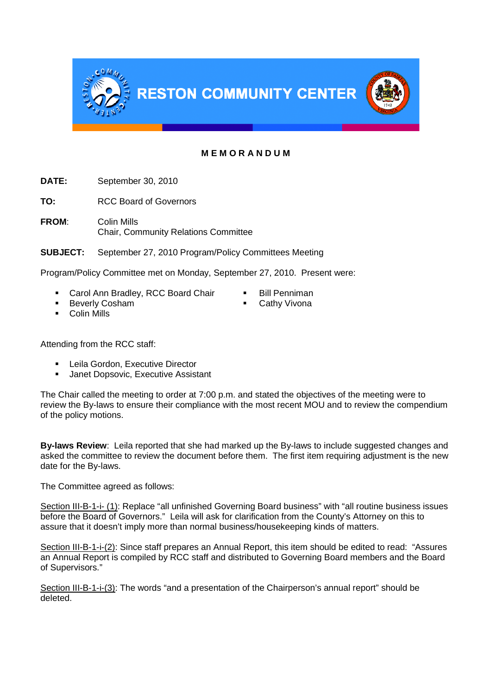

# **M E M O R A N D U M**

**DATE:** September 30, 2010

**TO:** RCC Board of Governors

**FROM**: Colin Mills Chair, Community Relations Committee

**SUBJECT:** September 27, 2010 Program/Policy Committees Meeting

Program/Policy Committee met on Monday, September 27, 2010. Present were:

- Carol Ann Bradley, RCC Board Chair Bill Penniman
	-
- Beverly Cosham 
Cathy Vivona
- 

**Colin Mills** 

Attending from the RCC staff:

- Leila Gordon, Executive Director
- **Janet Dopsovic, Executive Assistant**

The Chair called the meeting to order at 7:00 p.m. and stated the objectives of the meeting were to review the By-laws to ensure their compliance with the most recent MOU and to review the compendium of the policy motions.

**By-laws Review**: Leila reported that she had marked up the By-laws to include suggested changes and asked the committee to review the document before them. The first item requiring adjustment is the new date for the By-laws.

The Committee agreed as follows:

Section III-B-1-i- (1): Replace "all unfinished Governing Board business" with "all routine business issues before the Board of Governors." Leila will ask for clarification from the County's Attorney on this to assure that it doesn't imply more than normal business/housekeeping kinds of matters.

Section III-B-1-i-(2): Since staff prepares an Annual Report, this item should be edited to read: "Assures an Annual Report is compiled by RCC staff and distributed to Governing Board members and the Board of Supervisors."

Section III-B-1-i-(3): The words "and a presentation of the Chairperson's annual report" should be deleted.